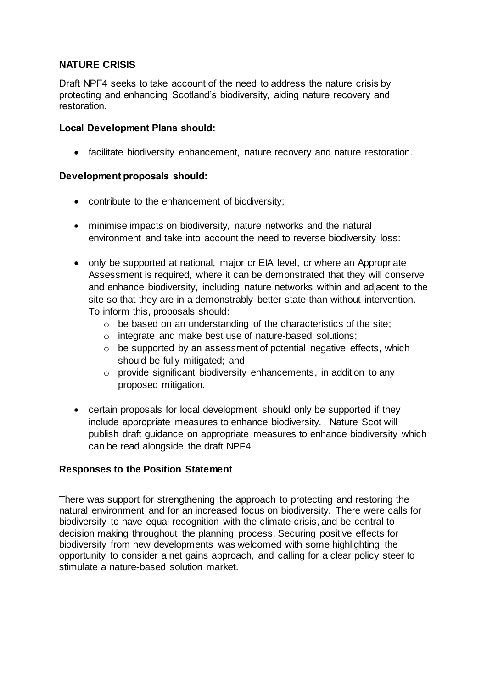# **NATURE CRISIS**

Draft NPF4 seeks to take account of the need to address the nature crisis by protecting and enhancing Scotland's biodiversity, aiding nature recovery and restoration.

## **Local Development Plans should:**

facilitate biodiversity enhancement, nature recovery and nature restoration.

#### **Development proposals should:**

- contribute to the enhancement of biodiversity;
- minimise impacts on biodiversity, nature networks and the natural environment and take into account the need to reverse biodiversity loss:
- only be supported at national, major or EIA level, or where an Appropriate Assessment is required, where it can be demonstrated that they will conserve and enhance biodiversity, including nature networks within and adjacent to the site so that they are in a demonstrably better state than without intervention. To inform this, proposals should:
	- $\circ$  be based on an understanding of the characteristics of the site;
	- o integrate and make best use of nature-based solutions;
	- $\circ$  be supported by an assessment of potential negative effects, which should be fully mitigated; and
	- o provide significant biodiversity enhancements, in addition to any proposed mitigation.
- certain proposals for local development should only be supported if they include appropriate measures to enhance biodiversity. Nature Scot will publish draft guidance on appropriate measures to enhance biodiversity which can be read alongside the draft NPF4.

## **Responses to the Position Statement**

There was support for strengthening the approach to protecting and restoring the natural environment and for an increased focus on biodiversity. There were calls for biodiversity to have equal recognition with the climate crisis, and be central to decision making throughout the planning process. Securing positive effects for biodiversity from new developments was welcomed with some highlighting the opportunity to consider a net gains approach, and calling for a clear policy steer to stimulate a nature-based solution market.